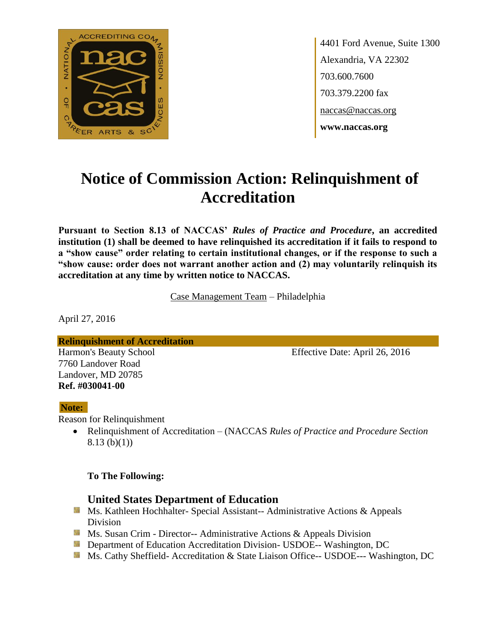

4401 Ford Avenue, Suite 1300 Alexandria, VA 22302 703.600.7600 703.379.2200 fax naccas@naccas.org **www.naccas.org**

# **Notice of Commission Action: Relinquishment of Accreditation**

**Pursuant to Section 8.13 of NACCAS'** *Rules of Practice and Procedure***, an accredited institution (1) shall be deemed to have relinquished its accreditation if it fails to respond to a "show cause" order relating to certain institutional changes, or if the response to such a "show cause: order does not warrant another action and (2) may voluntarily relinquish its accreditation at any time by written notice to NACCAS.**

Case Management Team – Philadelphia

April 27, 2016

**Relinquishment of Accreditation** Harmon's Beauty School Effective Date: April 26, 2016 7760 Landover Road

#### **Note:**

Reason for Relinquishment

Landover, MD 20785 **Ref. #030041-00**

> Relinquishment of Accreditation – (NACCAS *Rules of Practice and Procedure Section*  8.13 (b)(1))

#### **To The Following:**

## **United States Department of Education**

- **Ms. Kathleen Hochhalter- Special Assistant-- Administrative Actions & Appeals** Division
- **Ms. Susan Crim Director-- Administrative Actions & Appeals Division**
- **Department of Education Accreditation Division- USDOE-- Washington, DC**
- Ms. Cathy Sheffield- Accreditation & State Liaison Office-- USDOE--- Washington, DC